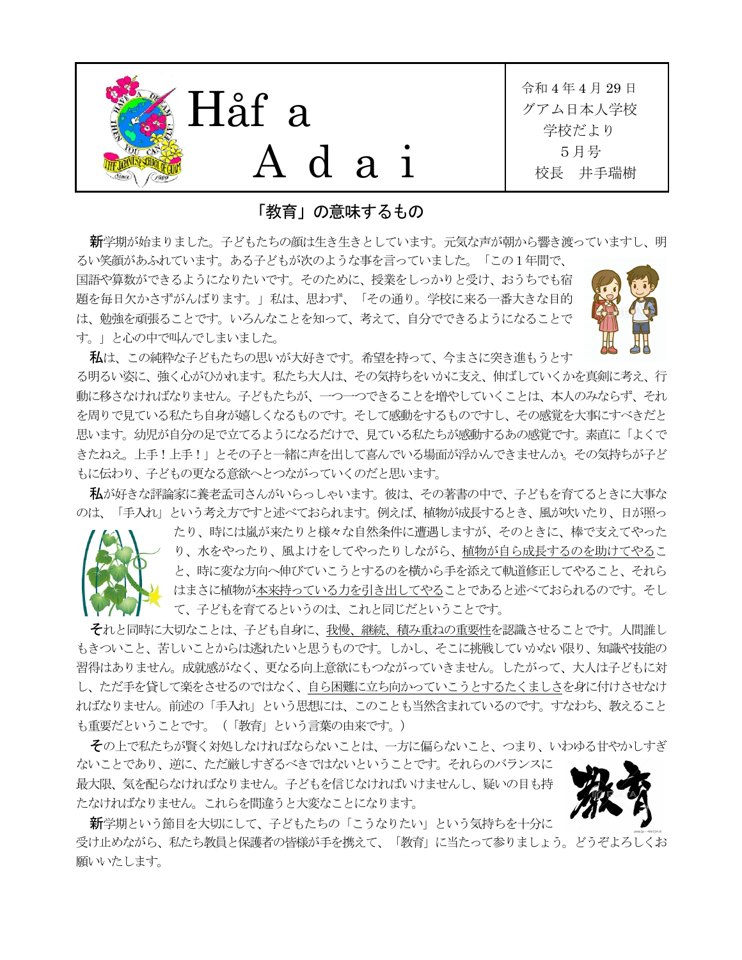

「教育」の意味するもの

新学期が始まりました。子どもたちの顔は生き生きとしています。元気な声が朝から響き渡っていますし、明 るい笑顔があふれています。ある子どもが次のような事を言っていました。「この1年間で、

国語や算数ができるようになりたいです。そのために、授業をしっかりと受け、おうちでも宿 題を毎日欠かさずがんばります。」私は、思わず、「その通り。学校に来る一番大きな目的 は、勉強を頑張ることです。いろんなことを知って、考えて、自分でできるようになることで す。」と心の中で叫んでしまいました。

もに伝わり、子どもの更なる意欲へとつながっていくのだと思います。



私は、この純粋な子どもたちの思いが大好きです。希望を持って、今まさに突き進もうとす る明るい姿に、強く心がひかれます。私たち大人は、その気持ちをいかに支え、伸ばしていくかを真剣に考え、行 動に移さなければなりません。子どもたちが、一つ一つできることを増やしていくことは、本人のみならず、それ を周りで見ている私たち自身が嬉しくなるものです。そして感動をするものですし、その感覚を大事にすべきだと 思います。幼児が自分の足で立てるようになるだけで、見ている私たちが感動するあの感覚です。素直に「よくで きたねえ。上手!上手!」とその子と一緒に声を出して喜んでいる場面が浮かんできませんか。その気持ちが子ど

私が好きな評論家に養老孟司さんがいらっしゃいます。彼は、その著書の中で、子どもを育てるときに大事な のは、「手入れ」という考え方ですと述べておられます。例えば、植物が成長するとき、風が吹いたり、日が照っ



それと同時に大切なことは、子ども自身に、我慢、継続、積み重ねの重要性を認識させることです。人間誰し もきついこと、苦しいことからは逃れたいと思うものです。しかし、そこに挑戦していかない限り、知識や技能の 習得はありません。成就感がなく、更なる向上意欲にもつながっていきません。したがって、大人は子どもに対 し、ただ手を貸して楽をさせるのではなく、自ら困難に立ち向かっていこうとするたくましさを身に付けさせなけ ればなりません。前述の「手入れ」という思想には、このことも当然含まれているのです。すなわち、教えること も重要だということです。(「教育」という言葉の由来です。)

その上で私たちが賢く対処しなければならないことは、一方に偏らないこと、つまり、いわゆる甘やかしすぎ

ないことであり、逆に、ただ厳しすぎるべきではないということです。それらのバランスに 最大限、気を配らなければなりません。子どもを信じなければいけませんし、疑いの目も持 たなければなりません。これらを間違うと大変なことになります。



新学期という節目を大切にして、子どもたちの「こうなりたい」という気持ちを十分に 受け止めながら、私たち教員と保護者の皆様が手を携えて、「教育」に当たって参りましょう。どうぞよろしくお 願いいたします。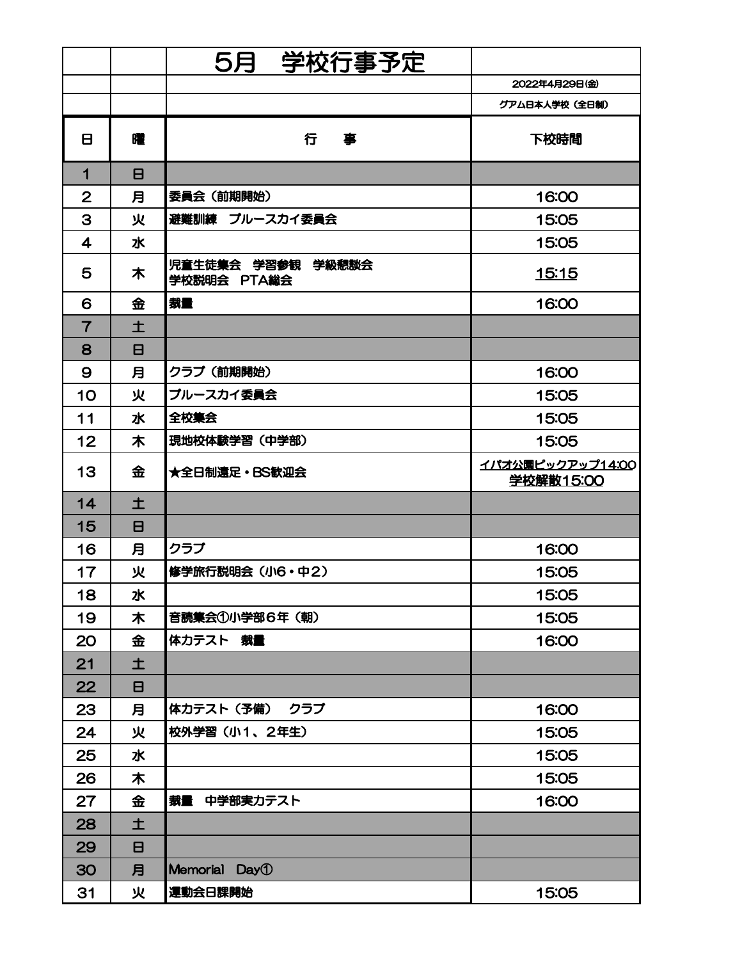|                         |                | 学校行事予定<br>5月                     |                                      |
|-------------------------|----------------|----------------------------------|--------------------------------------|
|                         |                |                                  | 2022年4月29日(金)                        |
|                         |                |                                  | グアム日本人学校(全日制)                        |
| 8                       | 曜              | 行<br>事                           | 下校時間                                 |
| 1                       | $\mathbf{B}$   |                                  |                                      |
| $\overline{2}$          | 月              | 委員会(前期開始)                        | 16:00                                |
| 3                       | 火              | 避難訓練 ブルースカイ委員会                   | 15:05                                |
| $\overline{\mathbf{4}}$ | 水              |                                  | 15:05                                |
| 5                       | 木              | 児童生徒集会 学習参観 学級懇談会<br>学校説明会 PTA総会 | <u> 15:15</u>                        |
| 6                       | 金              | 裁量                               | 16:00                                |
| $\overline{7}$          | 土              |                                  |                                      |
| 8                       | $\blacksquare$ |                                  |                                      |
| $\mathbf{9}$            | 月              | クラブ (前期開始)                       | 16:00                                |
| 10                      | 火              | ブルースカイ委員会                        | 15:05                                |
| 11                      | 水              | 全校集会                             | 15:05                                |
| 12                      | 木              | 現地校体験学習(中学部)                     | 15:05                                |
| 13                      | 金              | ★全日制遠足・BS歓迎会                     | イパオ公園ピックアップ14:00<br><b>学校解散15:00</b> |
| 14                      | 土              |                                  |                                      |
| 15                      | 8              |                                  |                                      |
| 16                      | 月              | クラブ                              | 16:00                                |
| 17                      | 火              | 修学旅行説明会 (小6・中2)                  | 15:05                                |
| 18                      | 水              |                                  | 15:05                                |
| 19                      | 木              | 音読集会①小学部6年 (朝)                   | 15:05                                |
| 20                      | 金              | 体力テスト 裁量                         | 16:00                                |
| 21                      | 土              |                                  |                                      |
| 22                      | $\blacksquare$ |                                  |                                      |
| 23                      | 月              | 体力テスト(予備) クラブ                    | 16:00                                |
| 24                      | 火              | 校外学習 (小1、2年生)                    | 15:05                                |
| 25                      | 水              |                                  | 15:05                                |
| 26                      | 木              |                                  | 15:05                                |
| 27                      | 金              | 裁量 中学部実力テスト                      | 16:00                                |
| 28                      | 土              |                                  |                                      |
| 29                      | 8              |                                  |                                      |
| 30                      | 月              | Memorial Day <sup>1</sup>        |                                      |
| 31                      | 火              | 運動会日課開始                          | 15:05                                |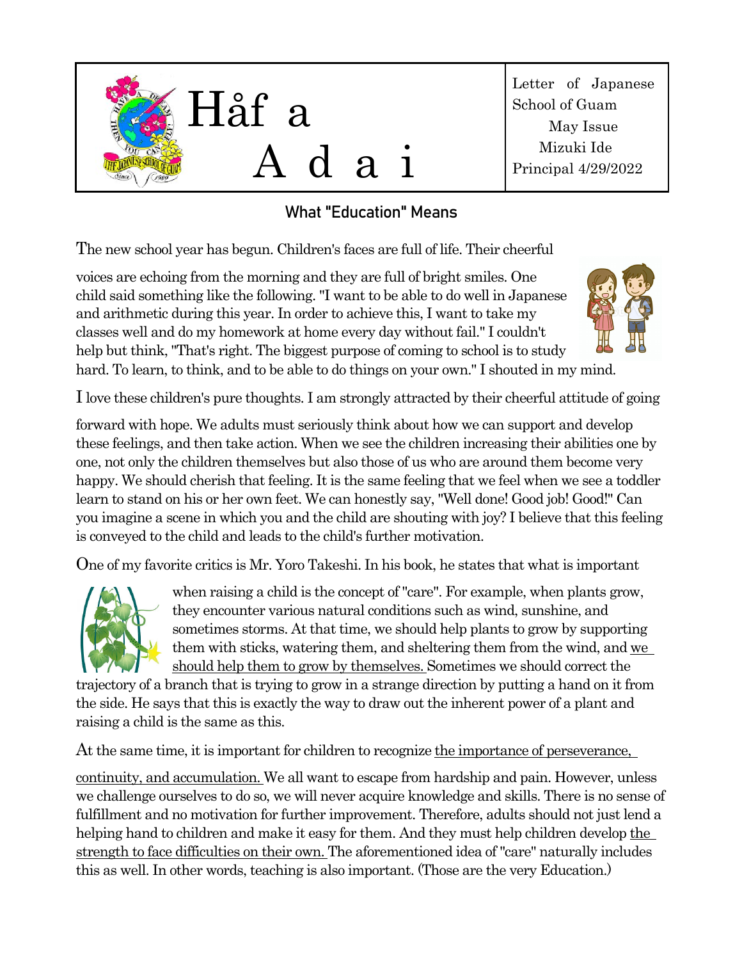

## What "Education" Means

The new school year has begun. Children's faces are full of life. Their cheerful

voices are echoing from the morning and they are full of bright smiles. One child said something like the following. "I want to be able to do well in Japanese and arithmetic during this year. In order to achieve this, I want to take my classes well and do my homework at home every day without fail." I couldn't help but think, "That's right. The biggest purpose of coming to school is to study hard. To learn, to think, and to be able to do things on your own." I shouted in my mind.



I love these children's pure thoughts. I am strongly attracted by their cheerful attitude of going

forward with hope. We adults must seriously think about how we can support and develop these feelings, and then take action. When we see the children increasing their abilities one by one, not only the children themselves but also those of us who are around them become very happy. We should cherish that feeling. It is the same feeling that we feel when we see a toddler learn to stand on his or her own feet. We can honestly say, "Well done! Good job! Good!" Can you imagine a scene in which you and the child are shouting with joy? I believe that this feeling is conveyed to the child and leads to the child's further motivation.

One of my favorite critics is Mr. Yoro Takeshi. In his book, he states that what is important



when raising a child is the concept of "care". For example, when plants grow, they encounter various natural conditions such as wind, sunshine, and sometimes storms. At that time, we should help plants to grow by supporting them with sticks, watering them, and sheltering them from the wind, and we should help them to grow by themselves. Sometimes we should correct the

trajectory of a branch that is trying to grow in a strange direction by putting a hand on it from the side. He says that this is exactly the way to draw out the inherent power of a plant and raising a child is the same as this.

At the same time, it is important for children to recognize the importance of perseverance,

continuity, and accumulation. We all want to escape from hardship and pain. However, unless we challenge ourselves to do so, we will never acquire knowledge and skills. There is no sense of fulfillment and no motivation for further improvement. Therefore, adults should not just lend a helping hand to children and make it easy for them. And they must help children develop the strength to face difficulties on their own. The aforementioned idea of "care" naturally includes this as well. In other words, teaching is also important. (Those are the very Education.)